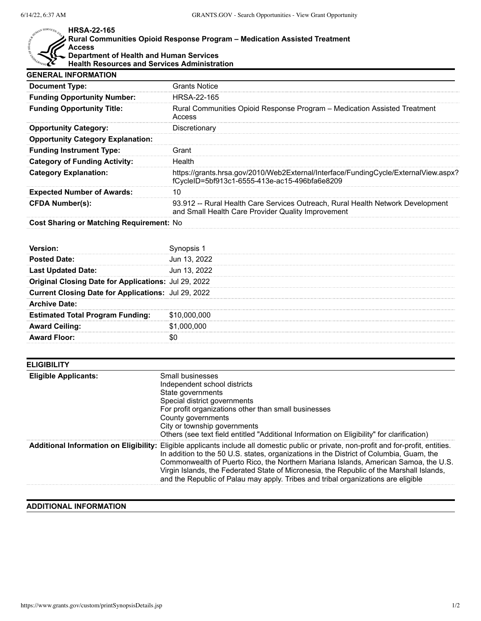r.

## **HRSA-22-165**

## SERVICES. **Rural Communities Opioid Response Program – Medication Assisted Treatment Access Department of Health and Human Services Health Resources and Services Administration**

| <b>GENERAL INFORMATION</b>                      |                                                                                                                                       |
|-------------------------------------------------|---------------------------------------------------------------------------------------------------------------------------------------|
| <b>Document Type:</b>                           | <b>Grants Notice</b>                                                                                                                  |
| <b>Funding Opportunity Number:</b>              | HRSA-22-165                                                                                                                           |
| <b>Funding Opportunity Title:</b>               | Rural Communities Opioid Response Program – Medication Assisted Treatment<br>Access                                                   |
| <b>Opportunity Category:</b>                    | Discretionary                                                                                                                         |
| <b>Opportunity Category Explanation:</b>        |                                                                                                                                       |
| <b>Funding Instrument Type:</b>                 | Grant                                                                                                                                 |
| <b>Category of Funding Activity:</b>            | Health                                                                                                                                |
| <b>Category Explanation:</b>                    | https://grants.hrsa.gov/2010/Web2External/Interface/FundingCycle/ExternalView.aspx?<br>fCycleID=5bf913c1-6555-413e-ac15-496bfa6e8209  |
| <b>Expected Number of Awards:</b>               | 10                                                                                                                                    |
| <b>CFDA Number(s):</b>                          | 93.912 -- Rural Health Care Services Outreach, Rural Health Network Development<br>and Small Health Care Provider Quality Improvement |
| <b>Cost Sharing or Matching Requirement: No</b> |                                                                                                                                       |

| <b>Posted Date:</b>                                        | Jun 13, 2022    |
|------------------------------------------------------------|-----------------|
| dated Date:                                                | Jun 13, 2022    |
| nal Closing Date for Applications: Jul 29, 2022            |                 |
| <b>Current Closing Date for Applications: Jul 29, 2022</b> |                 |
| <b>Archive Date:</b>                                       |                 |
| <b>Estimated Total Program Funding:</b>                    | \$1             |
| <b>Award Ceiling:</b>                                      | -000-00C<br>\$1 |
| 'd Floor:                                                  |                 |

| <b>ELIGIBILITY</b>          |                                                                                                                                                                                                                                                                                                                                                                                                                                                                                                            |
|-----------------------------|------------------------------------------------------------------------------------------------------------------------------------------------------------------------------------------------------------------------------------------------------------------------------------------------------------------------------------------------------------------------------------------------------------------------------------------------------------------------------------------------------------|
| <b>Eligible Applicants:</b> | Small businesses<br>Independent school districts<br>State governments<br>Special district governments<br>For profit organizations other than small businesses<br>County governments<br>City or township governments<br>Others (see text field entitled "Additional Information on Eligibility" for clarification)                                                                                                                                                                                          |
|                             | Additional Information on Eligibility: Eligible applicants include all domestic public or private, non-profit and for-profit, entities.<br>In addition to the 50 U.S. states, organizations in the District of Columbia, Guam, the<br>Commonwealth of Puerto Rico, the Northern Mariana Islands, American Samoa, the U.S.<br>Virgin Islands, the Federated State of Micronesia, the Republic of the Marshall Islands,<br>and the Republic of Palau may apply. Tribes and tribal organizations are eligible |

## **ADDITIONAL INFORMATION**